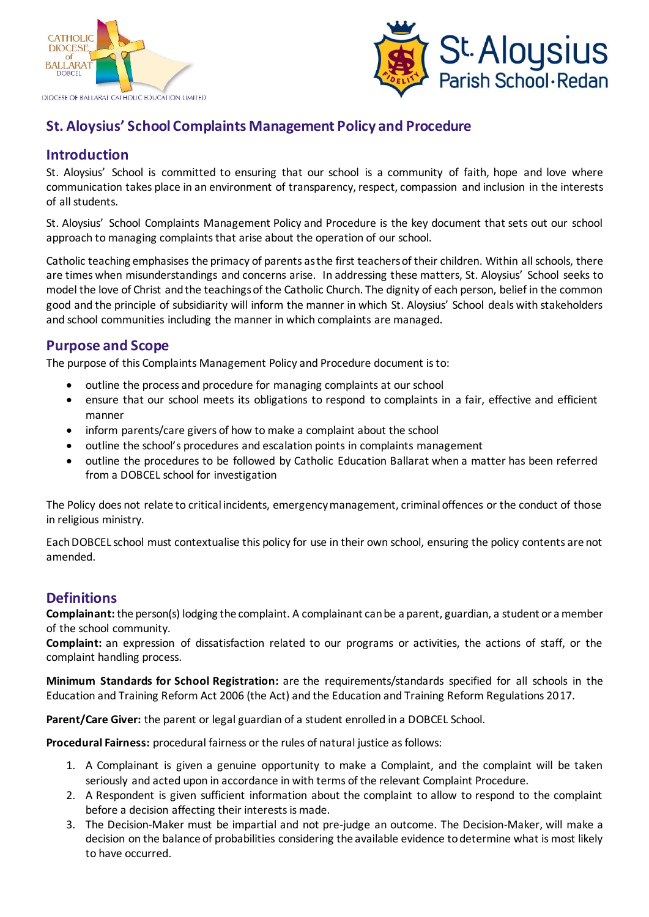



# **St. Aloysius' School Complaints Management Policy and Procedure**

# **Introduction**

St. Aloysius' School is committed to ensuring that our school is a community of faith, hope and love where communication takes place in an environment of transparency, respect, compassion and inclusion in the interests of all students.

St. Aloysius' School Complaints Management Policy and Procedure is the key document that sets out our school approach to managing complaints that arise about the operation of our school.

Catholic teaching emphasises the primacy of parents as the first teachers of their children. Within all schools, there are times when misunderstandings and concerns arise. In addressing these matters, St. Aloysius' School seeks to model the love of Christ and the teachings of the Catholic Church. The dignity of each person, belief in the common good and the principle of subsidiarity will inform the manner in which St. Aloysius' School deals with stakeholders and school communities including the manner in which complaints are managed.

## **Purpose and Scope**

The purpose of this Complaints Management Policy and Procedure document isto:

- outline the process and procedure for managing complaints at our school
- ensure that our school meets its obligations to respond to complaints in a fair, effective and efficient manner
- inform parents/care givers of how to make a complaint about the school
- outline the school's procedures and escalation points in complaints management
- outline the procedures to be followed by Catholic Education Ballarat when a matter has been referred from a DOBCEL school for investigation

The Policy does not relate to critical incidents, emergency management, criminal offences or the conduct of those in religious ministry.

Each DOBCEL school must contextualise this policy for use in their own school, ensuring the policy contents are not amended.

## **Definitions**

**Complainant:** the person(s) lodging the complaint. A complainant can be a parent, guardian, a student or a member of the school community.

**Complaint:** an expression of dissatisfaction related to our programs or activities, the actions of staff, or the complaint handling process.

**Minimum Standards for School Registration:** are the requirements/standards specified for all schools in the Education and Training Reform Act 2006 (the Act) and the Education and Training Reform Regulations 2017.

**Parent/Care Giver:** the parent or legal guardian of a student enrolled in a DOBCEL School.

**Procedural Fairness:** procedural fairness or the rules of natural justice as follows:

- 1. A Complainant is given a genuine opportunity to make a Complaint, and the complaint will be taken seriously and acted upon in accordance in with terms of the relevant Complaint Procedure.
- 2. A Respondent is given sufficient information about the complaint to allow to respond to the complaint before a decision affecting their interests is made.
- 3. The Decision-Maker must be impartial and not pre-judge an outcome. The Decision-Maker, will make a decision on the balance of probabilities considering the available evidence to determine what is most likely to have occurred.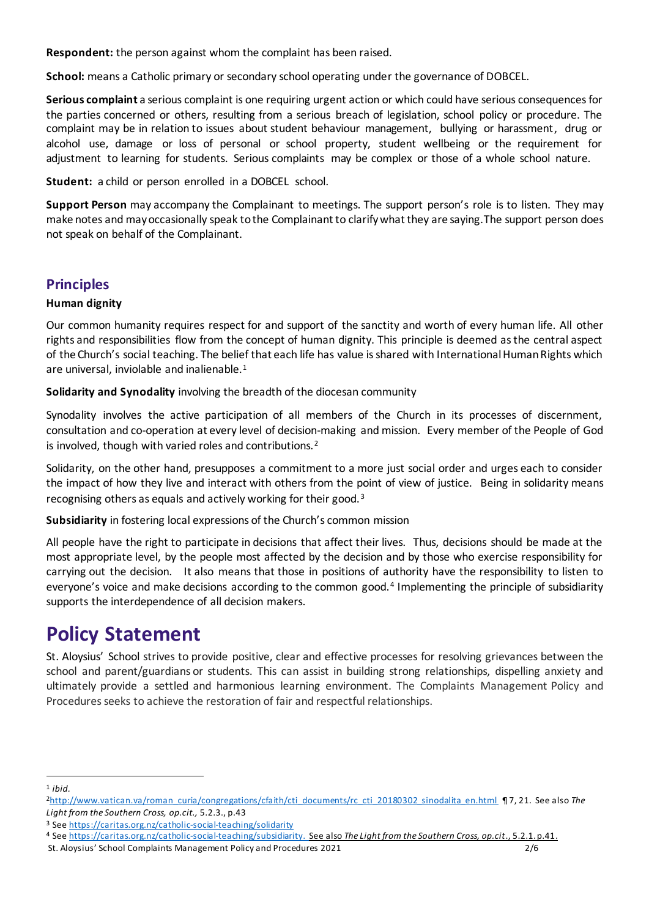**Respondent:** the person against whom the complaint has been raised.

**School:** means a Catholic primary or secondary school operating under the governance of DOBCEL.

**Serious complaint** a serious complaint is one requiring urgent action or which could have serious consequences for the parties concerned or others, resulting from a serious breach of legislation, school policy or procedure. The complaint may be in relation to issues about student behaviour management, bullying or harassment, drug or alcohol use, damage or loss of personal or school property, student wellbeing or the requirement for adjustment to learning for students. Serious complaints may be complex or those of a whole school nature.

**Student:** a child or person enrolled in a DOBCEL school.

**Support Person** may accompany the Complainant to meetings. The support person's role is to listen. They may make notes and mayoccasionally speak tothe Complainant to clarifywhat they are saying.The support person does not speak on behalf of the Complainant.

## **Principles**

## **Human dignity**

Our common humanity requires respect for and support of the sanctity and worth of every human life. All other rights and responsibilities flow from the concept of human dignity. This principle is deemed as the central aspect of the Church's social teaching. The belief that each life has value is shared with International Human Rights which are universal, inviolable and inalienable.<sup>1</sup>

**Solidarity and Synodality** involving the breadth of the diocesan community

Synodality involves the active participation of all members of the Church in its processes of discernment, consultation and co-operation at every level of decision-making and mission. Every member of the People of God is involved, though with varied roles and contributions.<sup>2</sup>

Solidarity, on the other hand, presupposes a commitment to a more just social order and urges each to consider the impact of how they live and interact with others from the point of view of justice. Being in solidarity means recognising others as equals and actively working for their good. <sup>3</sup>

**Subsidiarity** in fostering local expressions of the Church's common mission

All people have the right to participate in decisions that affect their lives. Thus, decisions should be made at the most appropriate level, by the people most affected by the decision and by those who exercise responsibility for carrying out the decision. It also means that those in positions of authority have the responsibility to listen to everyone's voice and make decisions according to the common good.<sup>4</sup> Implementing the principle of subsidiarity supports the interdependence of all decision makers.

# **Policy Statement**

St. Aloysius' School strives to provide positive, clear and effective processes for resolving grievances between the school and parent/guardians or students. This can assist in building strong relationships, dispelling anxiety and ultimately provide a settled and harmonious learning environment. The Complaints Management Policy and Procedures seeks to achieve the restoration of fair and respectful relationships.

 $\overline{a}$ <sup>1</sup> *ibid.*

<sup>2</sup>[http://www.vatican.va/roman\\_curia/congregations/cfaith/cti\\_documents/rc\\_cti\\_20180302\\_sinodalita\\_en.html](http://www.vatican.va/roman_curia/congregations/cfaith/cti_documents/rc_cti_20180302_sinodalita_en.html) ¶ 7, 21. See also *The Light from the Southern Cross, op.cit.,* 5.2.3., p.43

<sup>3</sup> Se[e https://caritas.org.nz/catholic-social-teaching/solidarity](https://caritas.org.nz/catholic-social-teaching/solidarity)

<sup>4</sup> Se[e https://caritas.org.nz/catholic-social-teaching/subsidiarity](https://caritas.org.nz/catholic-social-teaching/subsidiarity). See also *The Light from the Southern Cross, op.cit*., 5.2.1. p.41.

St. Aloysius' School Complaints Management Policy and Procedures 2021 2/6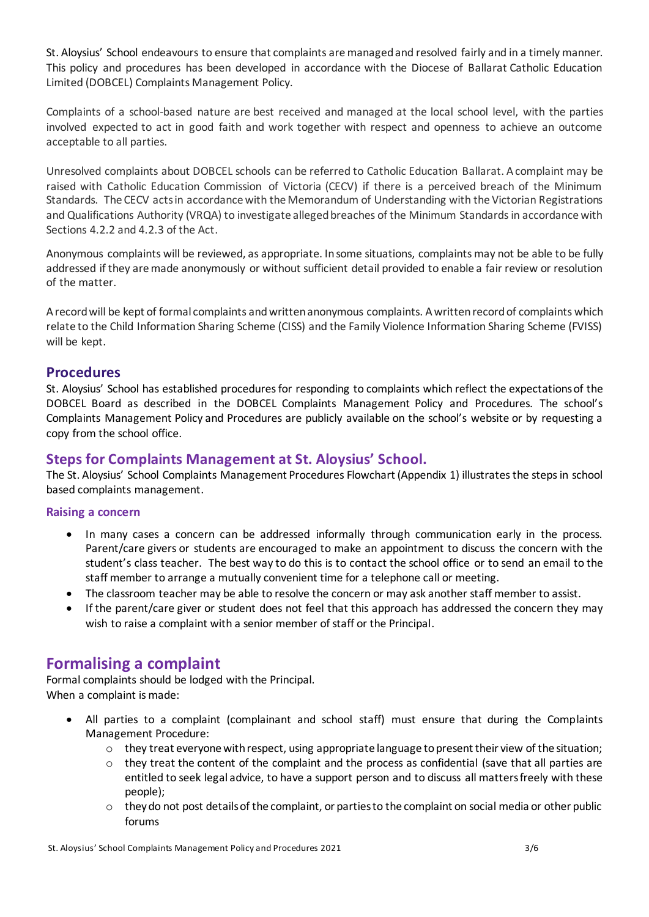St. Aloysius' School endeavours to ensure that complaints are managed and resolved fairly and in a timely manner. This policy and procedures has been developed in accordance with the Diocese of Ballarat Catholic Education Limited (DOBCEL) Complaints Management Policy.

Complaints of a school-based nature are best received and managed at the local school level, with the parties involved expected to act in good faith and work together with respect and openness to achieve an outcome acceptable to all parties.

Unresolved complaints about DOBCEL schools can be referred to Catholic Education Ballarat. A complaint may be raised with Catholic Education Commission of Victoria (CECV) if there is a perceived breach of the Minimum Standards. The CECV acts in accordance with the Memorandum of Understanding with the Victorian Registrations and Qualifications Authority (VRQA) to investigate alleged breaches of the Minimum Standards in accordance with Sections 4.2.2 and 4.2.3 of the Act.

Anonymous complaints will be reviewed, as appropriate. In some situations, complaints may not be able to be fully addressed if they are made anonymously or without sufficient detail provided to enable a fair review or resolution of the matter.

A record will be kept of formal complaints and written anonymous complaints. Awritten record of complaints which relate to the Child Information Sharing Scheme (CISS) and the Family Violence Information Sharing Scheme (FVISS) will be kept.

## **Procedures**

St. Aloysius' School has established procedures for responding to complaints which reflect the expectations of the DOBCEL Board as described in the DOBCEL Complaints Management Policy and Procedures. The school's Complaints Management Policy and Procedures are publicly available on the school's website or by requesting a copy from the school office.

## **Steps for Complaints Management at St. Aloysius' School.**

The St. Aloysius' School Complaints Management Procedures Flowchart (Appendix 1) illustrates the steps in school based complaints management.

#### **Raising a concern**

- In many cases a concern can be addressed informally through communication early in the process. Parent/care givers or students are encouraged to make an appointment to discuss the concern with the student's class teacher. The best way to do this is to contact the school office or to send an email to the staff member to arrange a mutually convenient time for a telephone call or meeting.
- The classroom teacher may be able to resolve the concern or may ask another staff member to assist.
- If the parent/care giver or student does not feel that this approach has addressed the concern they may wish to raise a complaint with a senior member of staff or the Principal.

## **Formalising a complaint**

Formal complaints should be lodged with the Principal. When a complaint is made:

- All parties to a complaint (complainant and school staff) must ensure that during the Complaints Management Procedure:
	- $\circ$  they treat everyone with respect, using appropriate language to present their view of the situation;
	- $\circ$  they treat the content of the complaint and the process as confidential (save that all parties are entitled to seek legal advice, to have a support person and to discuss all matters freely with these people);
	- $\circ$  they do not post details of the complaint, or parties to the complaint on social media or other public forums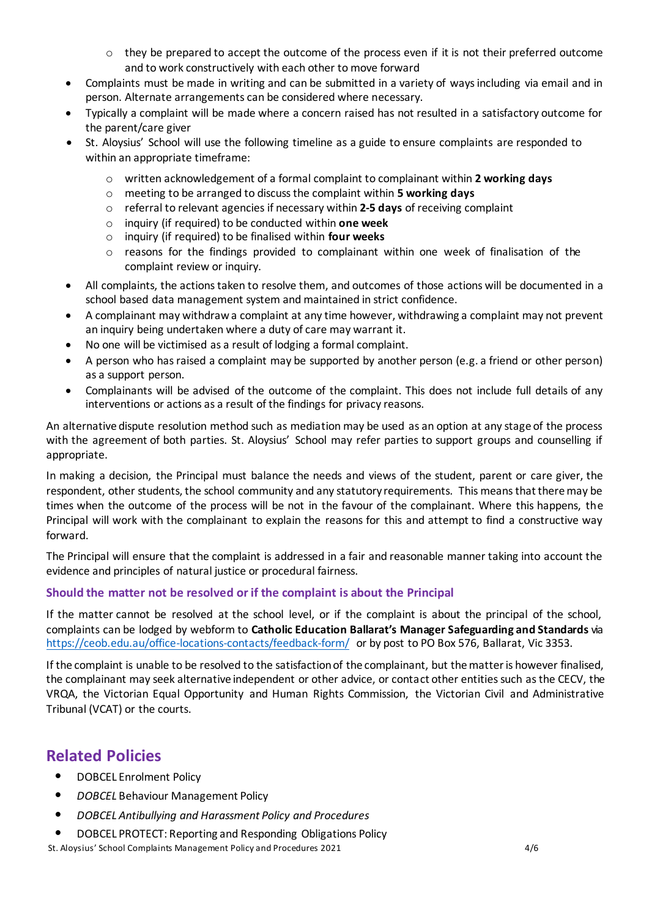- $\circ$  they be prepared to accept the outcome of the process even if it is not their preferred outcome and to work constructively with each other to move forward
- Complaints must be made in writing and can be submitted in a variety of ways including via email and in person. Alternate arrangements can be considered where necessary.
- Typically a complaint will be made where a concern raised has not resulted in a satisfactory outcome for the parent/care giver
- St. Aloysius' School will use the following timeline as a guide to ensure complaints are responded to within an appropriate timeframe:
	- o written acknowledgement of a formal complaint to complainant within **2 working days**
	- o meeting to be arranged to discuss the complaint within **5 working days**
	- o referral to relevant agencies if necessary within **2-5 days** of receiving complaint
	- o inquiry (if required) to be conducted within **one week**
	- o inquiry (if required) to be finalised within **four weeks**
	- o reasons for the findings provided to complainant within one week of finalisation of the complaint review or inquiry.
- All complaints, the actions taken to resolve them, and outcomes of those actions will be documented in a school based data management system and maintained in strict confidence.
- A complainant may withdraw a complaint at any time however, withdrawing a complaint may not prevent an inquiry being undertaken where a duty of care may warrant it.
- No one will be victimised as a result of lodging a formal complaint.
- A person who has raised a complaint may be supported by another person (e.g. a friend or other person) as a support person.
- Complainants will be advised of the outcome of the complaint. This does not include full details of any interventions or actions as a result of the findings for privacy reasons.

An alternative dispute resolution method such as mediation may be used as an option at any stage of the process with the agreement of both parties. St. Aloysius' School may refer parties to support groups and counselling if appropriate.

In making a decision, the Principal must balance the needs and views of the student, parent or care giver, the respondent, other students, the school community and any statutory requirements. This means that there may be times when the outcome of the process will be not in the favour of the complainant. Where this happens, the Principal will work with the complainant to explain the reasons for this and attempt to find a constructive way forward.

The Principal will ensure that the complaint is addressed in a fair and reasonable manner taking into account the evidence and principles of natural justice or procedural fairness.

## **Should the matter not be resolved or if the complaint is about the Principal**

If the matter cannot be resolved at the school level, or if the complaint is about the principal of the school, complaints can be lodged by webform to **Catholic Education Ballarat's Manager Safeguarding and Standards** via <https://ceob.edu.au/office-locations-contacts/feedback-form/> or by post to PO Box 576, Ballarat, Vic 3353.

If the complaint is unable to be resolved to the satisfaction of the complainant, but the matter is however finalised, the complainant may seek alternative independent or other advice, or contact other entities such as the CECV, the VRQA, the Victorian Equal Opportunity and Human Rights Commission, the Victorian Civil and Administrative Tribunal (VCAT) or the courts.

# **Related Policies**

- DOBCEL Enrolment Policy
- *DOBCEL* Behaviour Management Policy
- *DOBCEL Antibullying and Harassment Policy and Procedures*
- DOBCEL PROTECT: Reporting and Responding Obligations Policy

St. Aloysius' School Complaints Management Policy and Procedures 2021 4/6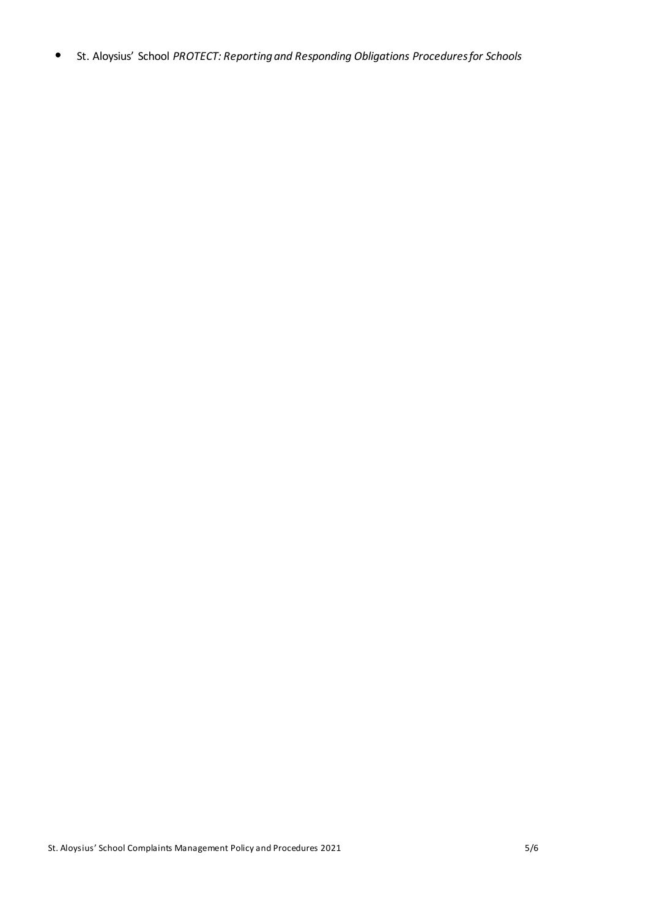• St. Aloysius' School *PROTECT: Reporting and Responding Obligations Procedures for Schools*